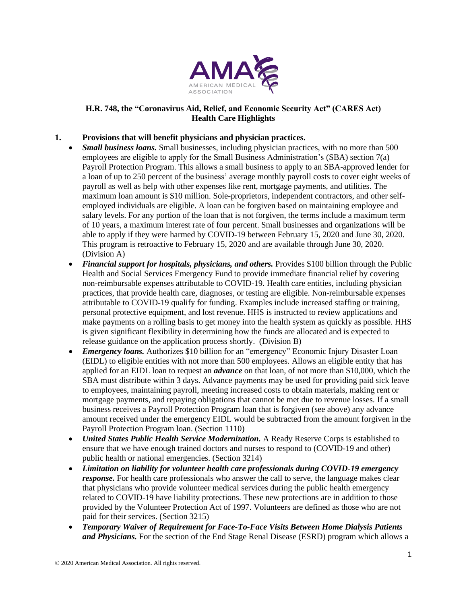

## **H.R. 748, the "Coronavirus Aid, Relief, and Economic Security Act" (CARES Act) Health Care Highlights**

## **1. Provisions that will benefit physicians and physician practices.**

- *Small business loans.* Small businesses, including physician practices, with no more than 500 employees are eligible to apply for the Small Business Administration's (SBA) section 7(a) Payroll Protection Program. This allows a small business to apply to an SBA-approved lender for a loan of up to 250 percent of the business' average monthly payroll costs to cover eight weeks of payroll as well as help with other expenses like rent, mortgage payments, and utilities. The maximum loan amount is \$10 million. Sole-proprietors, independent contractors, and other selfemployed individuals are eligible. A loan can be forgiven based on maintaining employee and salary levels. For any portion of the loan that is not forgiven, the terms include a maximum term of 10 years, a maximum interest rate of four percent. Small businesses and organizations will be able to apply if they were harmed by COVID-19 between February 15, 2020 and June 30, 2020. This program is retroactive to February 15, 2020 and are available through June 30, 2020. (Division A)
	- *Financial support for hospitals, physicians, and others.* Provides \$100 billion through the Public Health and Social Services Emergency Fund to provide immediate financial relief by covering non-reimbursable expenses attributable to COVID-19. Health care entities, including physician practices, that provide health care, diagnoses, or testing are eligible. Non-reimbursable expenses attributable to COVID-19 qualify for funding. Examples include increased staffing or training, personal protective equipment, and lost revenue. HHS is instructed to review applications and make payments on a rolling basis to get money into the health system as quickly as possible. HHS is given significant flexibility in determining how the funds are allocated and is expected to release guidance on the application process shortly. (Division B)
	- *Emergency loans.* Authorizes \$10 billion for an "emergency" Economic Injury Disaster Loan (EIDL) to eligible entities with not more than 500 employees. Allows an eligible entity that has applied for an EIDL loan to request an *advance* on that loan, of not more than \$10,000, which the SBA must distribute within 3 days. Advance payments may be used for providing paid sick leave to employees, maintaining payroll, meeting increased costs to obtain materials, making rent or mortgage payments, and repaying obligations that cannot be met due to revenue losses. If a small business receives a Payroll Protection Program loan that is forgiven (see above) any advance amount received under the emergency EIDL would be subtracted from the amount forgiven in the Payroll Protection Program loan. (Section 1110)
	- *United States Public Health Service Modernization.* A Ready Reserve Corps is established to ensure that we have enough trained doctors and nurses to respond to (COVID-19 and other) public health or national emergencies. (Section 3214)
	- *Limitation on liability for volunteer health care professionals during COVID-19 emergency response*. For health care professionals who answer the call to serve, the language makes clear that physicians who provide volunteer medical services during the public health emergency related to COVID-19 have liability protections. These new protections are in addition to those provided by the Volunteer Protection Act of 1997. Volunteers are defined as those who are not paid for their services. (Section 3215)
	- *Temporary Waiver of Requirement for Face-To-Face Visits Between Home Dialysis Patients and Physicians.* For the section of the End Stage Renal Disease (ESRD) program which allows a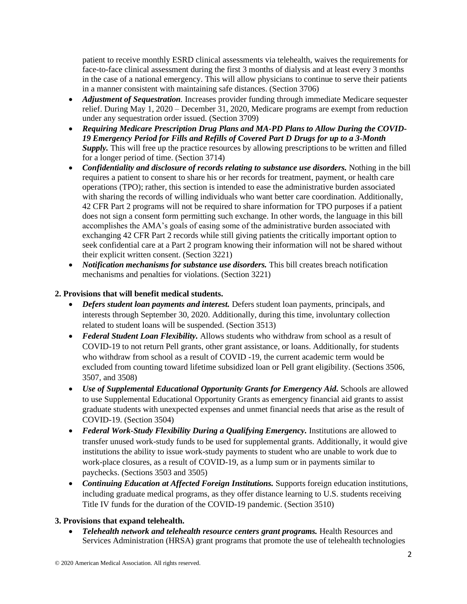patient to receive monthly ESRD clinical assessments via telehealth, waives the requirements for face-to-face clinical assessment during the first 3 months of dialysis and at least every 3 months in the case of a national emergency. This will allow physicians to continue to serve their patients in a manner consistent with maintaining safe distances. (Section 3706)

- *Adjustment of Sequestration*. Increases provider funding through immediate Medicare sequester relief. During May 1, 2020 – December 31, 2020, Medicare programs are exempt from reduction under any sequestration order issued. (Section 3709)
- *Requiring Medicare Prescription Drug Plans and MA-PD Plans to Allow During the COVID-19 Emergency Period for Fills and Refills of Covered Part D Drugs for up to a 3-Month*  **Supply.** This will free up the practice resources by allowing prescriptions to be written and filled for a longer period of time. (Section 3714)
- *Confidentiality and disclosure of records relating to substance use disorders.* Nothing in the bill requires a patient to consent to share his or her records for treatment, payment, or health care operations (TPO); rather, this section is intended to ease the administrative burden associated with sharing the records of willing individuals who want better care coordination. Additionally, 42 CFR Part 2 programs will not be required to share information for TPO purposes if a patient does not sign a consent form permitting such exchange. In other words, the language in this bill accomplishes the AMA's goals of easing some of the administrative burden associated with exchanging 42 CFR Part 2 records while still giving patients the critically important option to seek confidential care at a Part 2 program knowing their information will not be shared without their explicit written consent. (Section 3221)
- *Notification mechanisms for substance use disorders*. This bill creates breach notification mechanisms and penalties for violations. (Section 3221)

# **2. Provisions that will benefit medical students.**

- *Defers student loan payments and interest.* Defers student loan payments, principals, and interests through September 30, 2020. Additionally, during this time, involuntary collection related to student loans will be suspended. (Section 3513)
- *Federal Student Loan Flexibility.* Allows students who withdraw from school as a result of COVID-19 to not return Pell grants, other grant assistance, or loans. Additionally, for students who withdraw from school as a result of COVID -19, the current academic term would be excluded from counting toward lifetime subsidized loan or Pell grant eligibility. (Sections 3506, 3507, and 3508)
- *Use of Supplemental Educational Opportunity Grants for Emergency Aid.* Schools are allowed to use Supplemental Educational Opportunity Grants as emergency financial aid grants to assist graduate students with unexpected expenses and unmet financial needs that arise as the result of COVID-19. (Section 3504)
- *Federal Work-Study Flexibility During a Qualifying Emergency.* Institutions are allowed to transfer unused work-study funds to be used for supplemental grants. Additionally, it would give institutions the ability to issue work-study payments to student who are unable to work due to work-place closures, as a result of COVID-19, as a lump sum or in payments similar to paychecks. (Sections 3503 and 3505)
- *Continuing Education at Affected Foreign Institutions.* Supports foreign education institutions, including graduate medical programs, as they offer distance learning to U.S. students receiving Title IV funds for the duration of the COVID-19 pandemic. (Section 3510)

## **3. Provisions that expand telehealth.**

• *Telehealth network and telehealth resource centers grant programs.* Health Resources and Services Administration (HRSA) grant programs that promote the use of telehealth technologies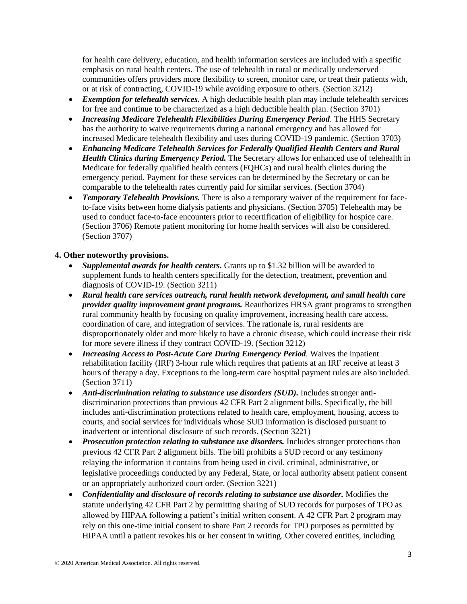for health care delivery, education, and health information services are included with a specific emphasis on rural health centers. The use of telehealth in rural or medically underserved communities offers providers more flexibility to screen, monitor care, or treat their patients with, or at risk of contracting, COVID-19 while avoiding exposure to others. (Section 3212)

- *Exemption for telehealth services.* A high deductible health plan may include telehealth services for free and continue to be characterized as a high deductible health plan. (Section 3701)
- *Increasing Medicare Telehealth Flexibilities During Emergency Period.* The HHS Secretary has the authority to waive requirements during a national emergency and has allowed for increased Medicare telehealth flexibility and uses during COVID-19 pandemic. (Section 3703)
- *Enhancing Medicare Telehealth Services for Federally Qualified Health Centers and Rural Health Clinics during Emergency Period.* The Secretary allows for enhanced use of telehealth in Medicare for federally qualified health centers (FQHCs) and rural health clinics during the emergency period. Payment for these services can be determined by the Secretary or can be comparable to the telehealth rates currently paid for similar services. (Section 3704)
- *Temporary Telehealth Provisions.* There is also a temporary waiver of the requirement for faceto-face visits between home dialysis patients and physicians. (Section 3705) Telehealth may be used to conduct face-to-face encounters prior to recertification of eligibility for hospice care. (Section 3706) Remote patient monitoring for home health services will also be considered. (Section 3707)

## **4. Other noteworthy provisions.**

- *Supplemental awards for health centers.* Grants up to \$1.32 billion will be awarded to supplement funds to health centers specifically for the detection, treatment, prevention and diagnosis of COVID-19. (Section 3211)
- *Rural health care services outreach, rural health network development, and small health care provider quality improvement grant programs.* Reauthorizes HRSA grant programs to strengthen rural community health by focusing on quality improvement, increasing health care access, coordination of care, and integration of services. The rationale is, rural residents are disproportionately older and more likely to have a chronic disease, which could increase their risk for more severe illness if they contract COVID-19. (Section 3212)
- *Increasing Access to Post-Acute Care During Emergency Period.* Waives the inpatient rehabilitation facility (IRF) 3-hour rule which requires that patients at an IRF receive at least 3 hours of therapy a day. Exceptions to the long-term care hospital payment rules are also included. (Section 3711)
- *Anti-discrimination relating to substance use disorders (SUD).* Includes stronger antidiscrimination protections than previous 42 CFR Part 2 alignment bills. Specifically, the bill includes anti-discrimination protections related to health care, employment, housing, access to courts, and social services for individuals whose SUD information is disclosed pursuant to inadvertent or intentional disclosure of such records. (Section 3221)
- *Prosecution protection relating to substance use disorders.* Includes stronger protections than previous 42 CFR Part 2 alignment bills. The bill prohibits a SUD record or any testimony relaying the information it contains from being used in civil, criminal, administrative, or legislative proceedings conducted by any Federal, State, or local authority absent patient consent or an appropriately authorized court order. (Section 3221)
- Confidentiality and disclosure of records relating to substance use disorder. Modifies the statute underlying 42 CFR Part 2 by permitting sharing of SUD records for purposes of TPO as allowed by HIPAA following a patient's initial written consent. A 42 CFR Part 2 program may rely on this one-time initial consent to share Part 2 records for TPO purposes as permitted by HIPAA until a patient revokes his or her consent in writing. Other covered entities, including